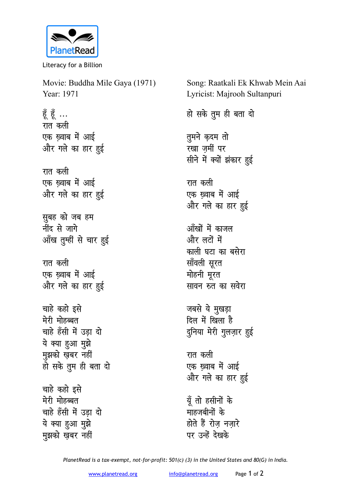

Literacy for a Billion

Movie: Buddha Mile Gaya (1971) Year: 1971 हूँ हूँ ... रात कली एक ख्वाब में आई और गले का हार हुई रात कली एक ख्वाब में आई और गले का हार हुई सुबह को जब हम ्<br>नींद से जागे आँख तुम्हीं से चार हुई रात कली एक ख़्वाब में आई और गले का हार हुई चाहे कहो इसे मेरी मोहब्बत चाहे हँसी में उड़ा दो ये क्या हुआ मुझे मुझको खबर नहीं हो सके तुम ही बता दो चाहे कहो इसे मेरी मोहब्बत चाहे हँसी में उड़ा दो ये क्या हुआ मुझे मुझको ख़बर नहीं

Lyricist: Majrooh Sultanpuri हो सके तुम ही बता दो तुमने कृदम तो रखा ज़मीं पर सीने में क्यों झंकार हुई रात कली एक ख़्वाब में आई और गले का हार हुई आँखों में काजल

Song: Raatkali Ek Khwab Mein Aai

और लटों में काली घटा का बसेरा सॉवली सूरत मोहनी मूरत सावन रुत का सवेरा

जबसे ये मुखड़ा दिल में खिला है दुनिया मेरी गुलज़ार हुई

रात कली एक ख्वाब में आई और गले का हार हुई

यूँ तो हसीनों के माहजबीनों के होते हैं रोज नजारे पर उन्हें देखके

PlanetRead is a tax-exempt, not-for-profit: 501(c) (3) in the United States and 80(G) in India.